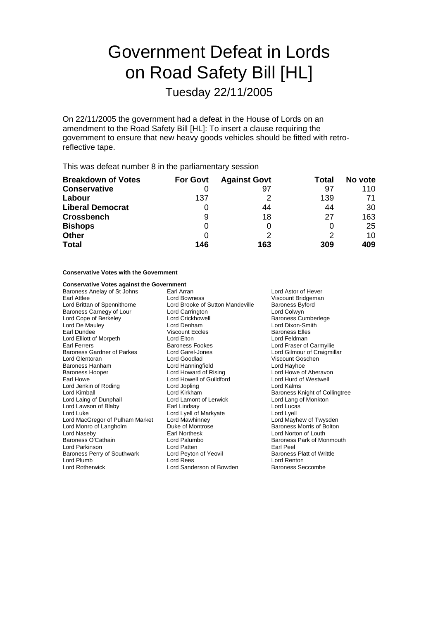# Government Defeat in Lords on Road Safety Bill [HL]

Tuesday 22/11/2005

On 22/11/2005 the government had a defeat in the House of Lords on an amendment to the Road Safety Bill [HL]: To insert a clause requiring the government to ensure that new heavy goods vehicles should be fitted with retroreflective tape.

This was defeat number 8 in the parliamentary session

| <b>Breakdown of Votes</b> | <b>For Govt</b> | <b>Against Govt</b> | Total | No vote |
|---------------------------|-----------------|---------------------|-------|---------|
| <b>Conservative</b>       |                 | 97                  | 97    | 110     |
| Labour                    | 137             |                     | 139   | 71      |
| <b>Liberal Democrat</b>   | 0               | 44                  | 44    | 30      |
| <b>Crossbench</b>         | 9               | 18                  | 27    | 163     |
| <b>Bishops</b>            | 0               |                     | 0     | 25      |
| <b>Other</b>              | 0               |                     | 2     | 10      |
| <b>Total</b>              | 146             | 163                 | 309   | 409     |

### **Conservative Votes with the Government**

| <b>Conservative Votes against the Government</b> |                                                     |                                |  |
|--------------------------------------------------|-----------------------------------------------------|--------------------------------|--|
| Baroness Anelay of St Johns                      | Earl Arran                                          | Lord Astor of Hever            |  |
| Earl Attlee                                      | Lord Bowness                                        | Viscount Bridgeman             |  |
| Lord Brittan of Spennithorne                     | Lord Brooke of Sutton Mandeville<br>Baroness Byford |                                |  |
| Baroness Carnegy of Lour                         | Lord Colwyn<br>Lord Carrington                      |                                |  |
| Lord Cope of Berkeley                            | Lord Crickhowell<br><b>Baroness Cumberlege</b>      |                                |  |
| Lord De Mauley                                   | Lord Dixon-Smith<br>Lord Denham                     |                                |  |
| Earl Dundee                                      | <b>Viscount Eccles</b>                              | <b>Baroness Elles</b>          |  |
| Lord Elliott of Morpeth                          | Lord Elton                                          | Lord Feldman                   |  |
| Earl Ferrers                                     | Baroness Fookes                                     | Lord Fraser of Carmyllie       |  |
| <b>Baroness Gardner of Parkes</b>                | Lord Garel-Jones                                    | Lord Gilmour of Craigmillar    |  |
| Lord Glentoran                                   | Lord Goodlad                                        | Viscount Goschen               |  |
| Baroness Hanham                                  | Lord Hanningfield                                   | Lord Hayhoe                    |  |
| <b>Baroness Hooper</b>                           | Lord Howard of Rising                               | Lord Howe of Aberavon          |  |
| Earl Howe                                        | Lord Howell of Guildford                            | Lord Hurd of Westwell          |  |
| Lord Jenkin of Roding                            | Lord Jopling                                        | Lord Kalms                     |  |
| Lord Kimball                                     | Lord Kirkham                                        | Baroness Knight of Collingtree |  |
| Lord Laing of Dunphail                           | Lord Lamont of Lerwick                              | Lord Lang of Monkton           |  |
| Lord Lawson of Blaby                             | Earl Lindsay                                        | Lord Lucas                     |  |
| Lord Luke                                        | Lord Lyell of Markyate                              | Lord Lyell                     |  |
| Lord MacGregor of Pulham Market                  | Lord Mawhinney                                      | Lord Mayhew of Twysden         |  |
| Lord Monro of Langholm                           | Duke of Montrose                                    | Baroness Morris of Bolton      |  |
| Lord Naseby                                      | <b>Earl Northesk</b>                                | Lord Norton of Louth           |  |
| Baroness O'Cathain                               | Lord Palumbo                                        | Baroness Park of Monmouth      |  |
| Lord Parkinson                                   | Lord Patten                                         | Earl Peel                      |  |
| Baroness Perry of Southwark                      | Lord Peyton of Yeovil                               | Baroness Platt of Writtle      |  |
| Lord Plumb                                       | Lord Rees                                           | Lord Renton                    |  |
| Lord Rotherwick                                  | Lord Sanderson of Bowden                            | <b>Baroness Seccombe</b>       |  |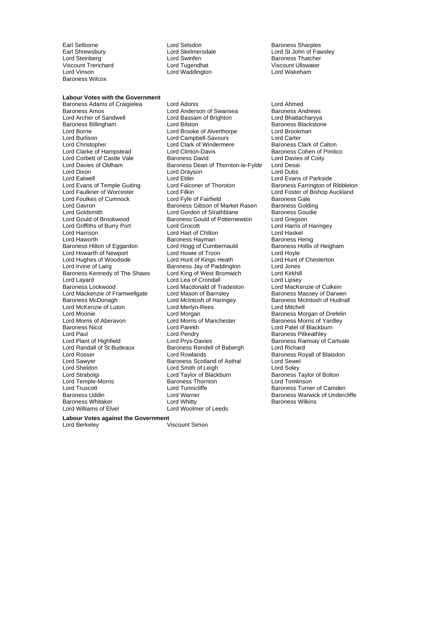Viscount Trenchard Lord Tugendhat Viscount Ullswater Lord Vinson Lord Waddington Lord Wakeham Baroness Wilcox

**Labour Votes with the Government** Baroness Adams of Craigielea Lord Adonis Lord Access 2007 Lord Ahmed<br>Baroness Amos Lord Anderson of Swansea Baroness Andrews Baroness Amos<br>
Lord Archer of Sandwell **Lord Basam of Brighton**<br>
Lord Archer of Sandwell **Lord Basam of Brighton** Lord Bhattacharyya Baroness Billingham Lord Borrie Lord Brooke of Alverthorpe Lord Brookman Lord Burlison Lord Campbell-Savours Lord Carter Lord Clarke of Hampstead Lord Corbett of Castle Vale **Baroness David** Lord Davies of Coity<br>
Lord Davies of Oldham **Baroness Dean of Thornton-le-Fylde** Lord Desai Lord Davies of Oldham Baroness Dean of Thornton-le-Fylde Lord Desai<br>Lord Dixon Lord Dubs Lord Dubs Lord Dixon Lord Drayson<br>Lord Eatwell Lord Elder Lord Eatwell<br>
Lord Evans of Temple Guiting Lord Elder<br>
Lord Evans of Temple Guiting Lord Falconer of Thoroton Baroness Farrington of Lord Evans of Temple Guiting Lord Falconer of Thoroton Baroness Farrington of Ribbleton<br>
Lord Faulkner of Worcester Lord Filkin Lord Forth Lord Foster of Bishop Auckland Lord Foulkes of Cumnock Lord Fyfe of Fairfield Baroness Gale<br>
Lord Gavron Baroness Gibson of Market Rasen Baroness Golding Lord Gavron Baroness Gibson of Market Rasen Baroness Golding Lord Goldsmith **Lord Gordon of Strathblane** Baroness Gound Cord Gordon of Strathblane Baroness Gound Greason Lord Griffiths of Burry Port Lord Harrison **Lord Hart of Chilton** Lord Haskel<br>
Lord Haworth **Chilton Barchilton Barchilton** Barchilton Barchilton Barchilton Barchilton Barchilton Barchilton Baroness Hilton of Eggardon Lord Hogg of Cumbernauld Baroness Hilton of Eggardon Lord Howie of Troon Lord Howarth of Newport Lord Howie of Troon Lord Hoyle<br>
Lord Hughes of Woodside Lord Hunt of Kings Heath Lord Hunt of Chesterton Lord Hughes of Woodside Lord Hunt of Kings Heath Lord Hunt of Kings Heath Lord Hunt of Chesterton Lord Jones Baroness Kennedy of The Shaws Lord Layard<br>
Lord Layard **Lord Lord Lord Condall** Lord Lord Lipsey<br>
Lord Mackenzie of Culkein<br>
Lord Mackenzie of Culkein Lord Mackenzie of Framwellgate Lord Mason of Barnsley<br>Baroness McDonagh Lord McIntosh of Haringey Lord McKenzie of Luton Lord Merlyn-Rees **Lord Mitchell**<br>
Lord Moonie **Lord Morgan**<br>
Lord Morgan Communication Communication Communication Communication Communication Communication Communication Lord Moonie **Lord Morgan** Lord Morgan **Baroness Morgan of Drefelin**<br>
Lord Morris of Aberavon Lord Morris of Manchester **Baroness Morris of Yardley** Baroness Nicol Lord Parekh Lord Patel of Blackburn Lord Paul<br>
Lord Paul Lord Pendry<br>
Lord Provides Carelies Baroness Ramsay of<br>
Lord Provides Paulines Ramsay of Lord Plant of Highfield **Lord Prys-Davies Carty and Baroness Ramsay of Cartvale**<br>
Lord Randall of St Budeaux **Baroness Rendell of Babergh** Lord Richard Lord Rosser **Lord Rowlands** Cord Rosser Exercise Royall of Blaisdon<br>
Lord Sawver **Baroness Scotland of Asthal** Cord Sewel Lord Sawyer **Baroness Scotland of Asthal Lord Sewell** ord Sewell and Soley Lord Sewell and Soley Lord Selevel Lord Sheldon **Lord Smith of Leigh**<br>
Lord Strabolgi **Lord Taylor of Blackburn** Lord Temple-Morris and Baroness Thorn<br>
Lord Truscott **Example 2** Lord Tunnicliffe Lord Truscott **Lord Tunnicliffe** Communicliffe **Baroness Turner of Camden**<br>
Baroness Uddin **Baroness Turner Communication**<br>
Baroness Warwick of Underc Baroness Whitaker **Example 2 Example 2 Lord Whitty** Baroness Wilkins<br>
Lord Williams of Elvel **Baroness Corporation** Lord Woolmer of Leeds

Earl Selborne **Lord Selsdon** Baroness Sharples<br>
Earl Shrewsbury **Corporation Corporation** Lord Stelmersdale **Baroness Sharples** 

Lord Bassam of Brighton **Lord Battacharyya**<br> **Lord Bilston Corporation Corporation** Baroness Blackstone Lord Clark of Windermere **Lord Clark of Calton**<br>Lord Clinton-Davis **Lord Clark of Calton** of Pimlico Lord Filkin<br>Lord Fyle of Fairfield **Exercise Lord Foster of Bishop Auckland**<br>Baroness Gale Baroness Gould of Potternewton Lord Gregson<br>
Lord Grocott Lord Harris of Haringey Baroness Hayman **Baroness Henig**<br> **Lord Hogg of Cumbernauld** Baroness Hollis of Heigham Baroness Jay of Paddington Lord Jones<br>
Lord King of West Bromwich Lord Kirkhill Lord Macdonald of Tradeston Lord MacKenzie of Culkein<br>Lord Mason of Barnsley Baroness Massey of Darwen Baroness Rendell of Babergh Lord Taylor of Blackburn Baroness Taylor of Bolton<br>Baroness Thornton Baroness Thornton Lord Warner **Baroness Warwick of Undercliffe** Lord Woolmer of Leeds

Lord Skelmersdale **Lord Skelmersdale** Lord St John of Fawsley<br>
Lord Swinfen **Consult Baroness Thatcher** Lord Steinberg **Lord Swinfen** Baroness Thatcher

> Baroness McIntosh of Hudnall Baroness Morris of Yardley

**Labour Votes against the Government**<br>Lord Berkeley **Micrount Simon** Lord Berkeley